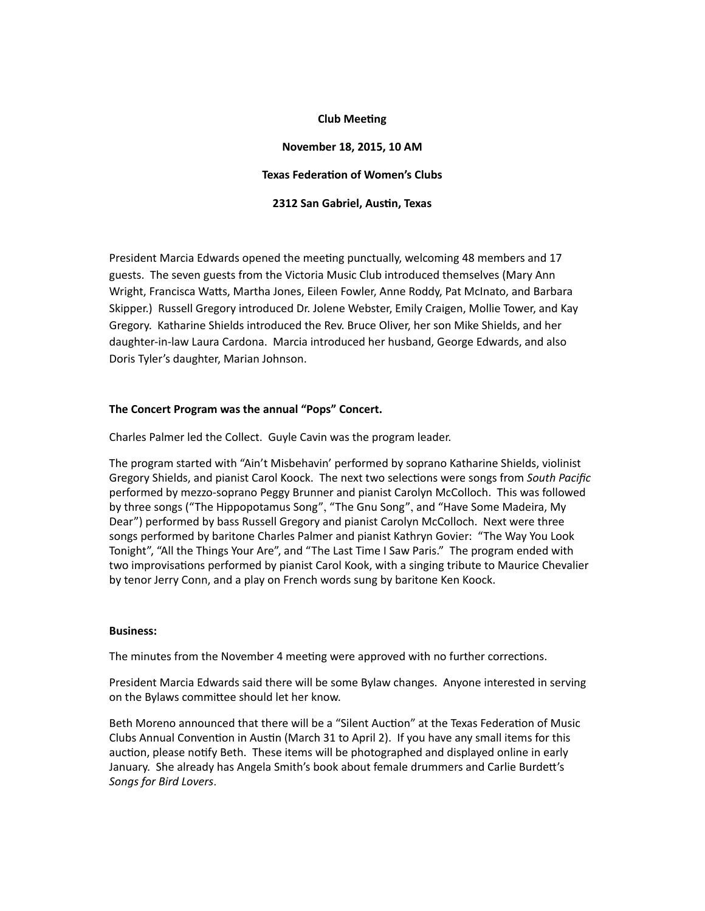## **Club Meeting**

# **November 18, 2015, 10 AM Texas Federation of Women's Clubs 2312 San Gabriel, Austin, Texas**

President Marcia Edwards opened the meeting punctually, welcoming 48 members and 17 guests. The seven guests from the Victoria Music Club introduced themselves (Mary Ann Wright, Francisca Watts, Martha Jones, Eileen Fowler, Anne Roddy, Pat McInato, and Barbara Skipper.) Russell Gregory introduced Dr. Jolene Webster, Emily Craigen, Mollie Tower, and Kay Gregory. Katharine Shields introduced the Rev. Bruce Oliver, her son Mike Shields, and her daughter-in-law Laura Cardona. Marcia introduced her husband, George Edwards, and also Doris Tyler's daughter, Marian Johnson.

## The Concert Program was the annual "Pops" Concert.

Charles Palmer led the Collect. Guyle Cavin was the program leader.

The program started with "Ain't Misbehavin' performed by soprano Katharine Shields, violinist Gregory Shields, and pianist Carol Koock. The next two selections were songs from *South Pacific* performed by mezzo-soprano Peggy Brunner and pianist Carolyn McColloch. This was followed by three songs ("The Hippopotamus Song", "The Gnu Song", and "Have Some Madeira, My Dear") performed by bass Russell Gregory and pianist Carolyn McColloch. Next were three songs performed by baritone Charles Palmer and pianist Kathryn Govier: "The Way You Look Tonight", "All the Things Your Are", and "The Last Time I Saw Paris." The program ended with two improvisations performed by pianist Carol Kook, with a singing tribute to Maurice Chevalier by tenor Jerry Conn, and a play on French words sung by baritone Ken Koock.

#### **Business:**

The minutes from the November 4 meeting were approved with no further corrections.

President Marcia Edwards said there will be some Bylaw changes. Anyone interested in serving on the Bylaws committee should let her know.

Beth Moreno announced that there will be a "Silent Auction" at the Texas Federation of Music Clubs Annual Convention in Austin (March 31 to April 2). If you have any small items for this auction, please notify Beth. These items will be photographed and displayed online in early January. She already has Angela Smith's book about female drummers and Carlie Burdett's *Songs for Bird Lovers*.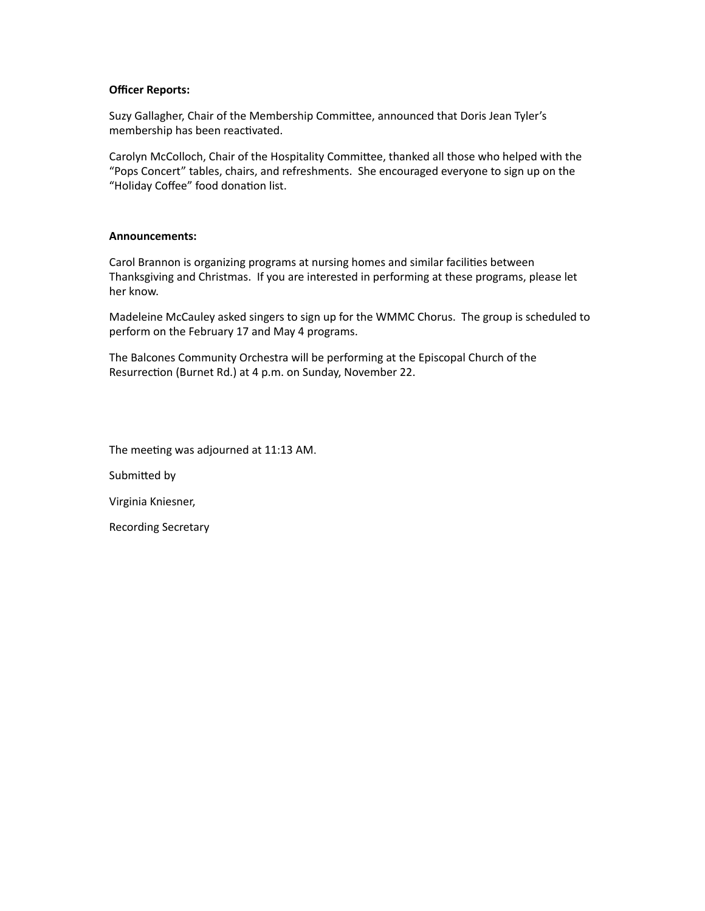## **Officer Reports:**

Suzy Gallagher, Chair of the Membership Committee, announced that Doris Jean Tyler's membership has been reactivated.

Carolyn McColloch, Chair of the Hospitality Committee, thanked all those who helped with the "Pops Concert" tables, chairs, and refreshments. She encouraged everyone to sign up on the "Holiday Coffee" food donation list.

## **Announcements:**

Carol Brannon is organizing programs at nursing homes and similar facilities between Thanksgiving and Christmas. If you are interested in performing at these programs, please let her know.

Madeleine McCauley asked singers to sign up for the WMMC Chorus. The group is scheduled to perform on the February 17 and May 4 programs.

The Balcones Community Orchestra will be performing at the Episcopal Church of the Resurrection (Burnet Rd.) at 4 p.m. on Sunday, November 22.

The meeting was adjourned at 11:13 AM.

Submitted by

Virginia Kniesner,

Recording Secretary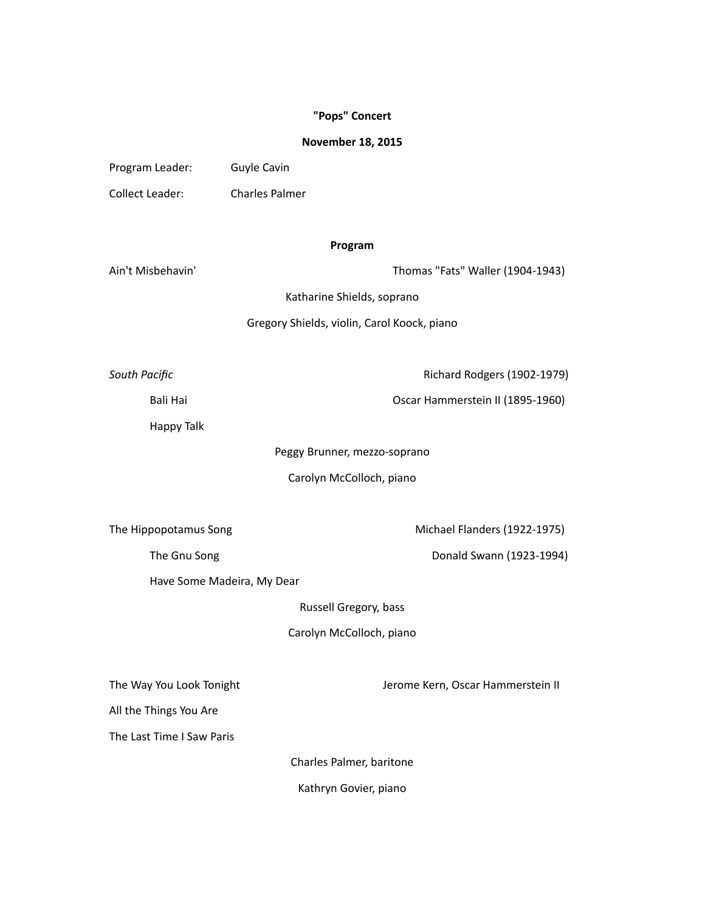## **"Pops" Concert**

## **November 18, 2015**

| Program Leader: | Guyle Cavin           |
|-----------------|-----------------------|
| Collect Leader: | <b>Charles Palmer</b> |

## **Program**

Ain't Misbehavin' Thomas "Fats" Waller (1904-1943)

Katharine Shields, soprano

Gregory Shields, violin, Carol Koock, piano

**South Pacific COVER 1902-1979 COVER 1902-1979 Richard Rodgers (1902-1979)** 

Bali Hai **Discript Contract Contract Contract Contract Contract Contract Contract Contract Contract Contract Contract Contract Contract Contract Contract Contract Contract Contract Contract Contract Contract Contract Contr** 

Happy Talk

Peggy Brunner, mezzo-soprano

Carolyn McColloch, piano

The Hippopotamus Song **Michael Flanders** (1922-1975)

The Gnu Song and Controller Controller Controller Controller Donald Swann (1923-1994)

Have Some Madeira, My Dear

Russell Gregory, bass

Carolyn McColloch, piano

The Way You Look Tonight **The Way You Look Tonight All Accord Contract Contract Contract Contract Contract Contract Contract Contract Contract Contract Contract Contract Contract Contract Contract Contract Contract Contr** 

All the Things You Are

The Last Time I Saw Paris

Charles Palmer, baritone

Kathryn Govier, piano